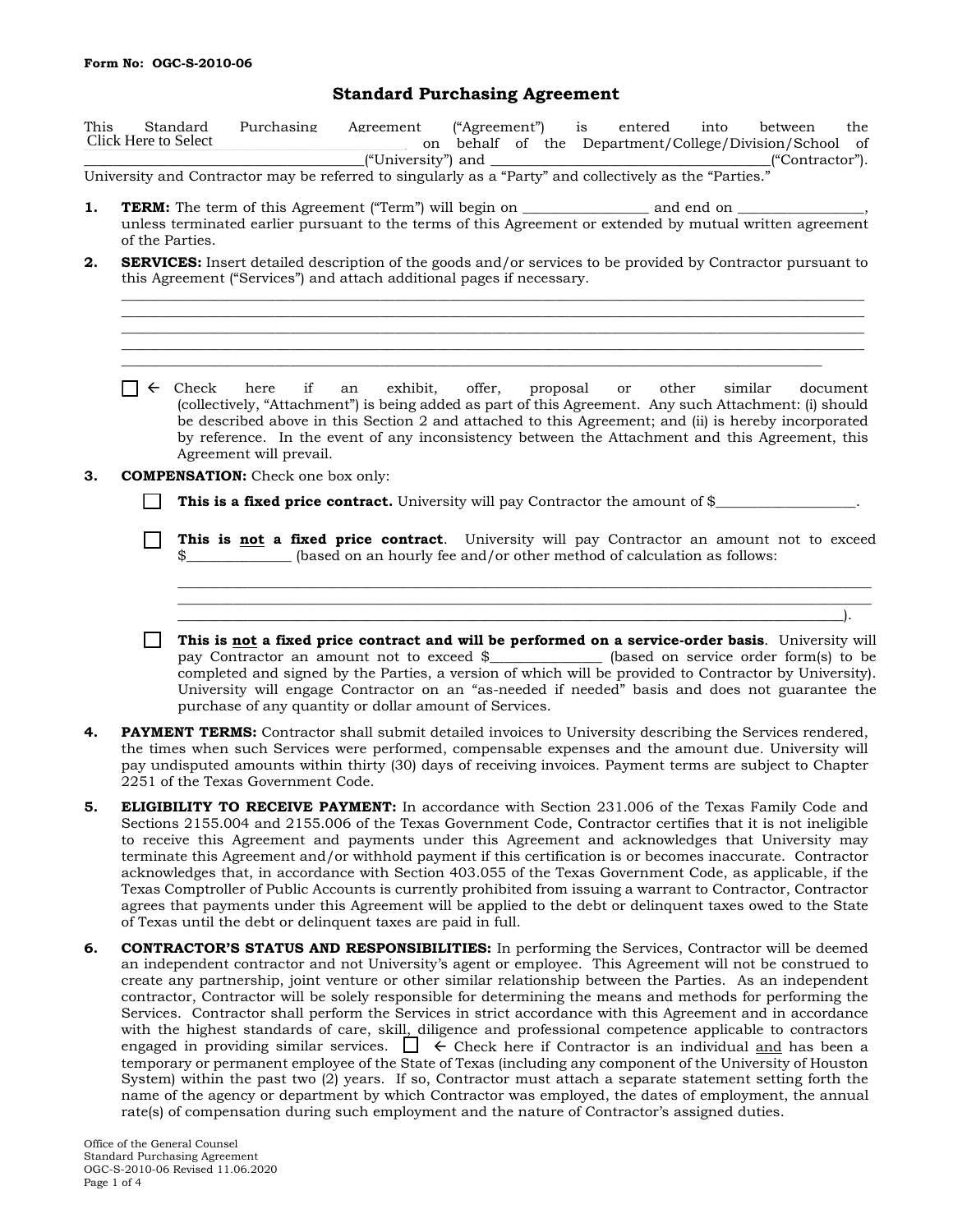## **Standard Purchasing Agreement**

| This | Standard             | Purchasing |  |  |  | Agreement | ("Agreement")                                          |            |  |  | is in | entered |  |  | into |  | between |                 | the |  |
|------|----------------------|------------|--|--|--|-----------|--------------------------------------------------------|------------|--|--|-------|---------|--|--|------|--|---------|-----------------|-----|--|
|      | Click Here to Select |            |  |  |  |           | on behalf of the Department/College/Division/School of |            |  |  |       |         |  |  |      |  |         |                 |     |  |
|      |                      |            |  |  |  |           | ("University") and                                     |            |  |  |       |         |  |  |      |  |         | ("Contractor"). |     |  |
|      |                      |            |  |  |  |           |                                                        | $\sqrt{2}$ |  |  |       |         |  |  |      |  |         |                 |     |  |

University and Contractor may be referred to singularly as a "Party" and collectively as the "Parties."

- **1. <b>TERM:** The term of this Agreement ("Term") will begin on \_\_\_\_\_\_\_\_\_\_\_\_\_\_\_\_\_ and end on unless terminated earlier pursuant to the terms of this Agreement or extended by mutual written agreement of the Parties.
- **2. SERVICES:** Insert detailed description of the goods and/or services to be provided by Contractor pursuant to this Agreement ("Services") and attach additional pages if necessary.**\_**

 $\mathcal{L}_\mathcal{L} = \{ \mathcal{L}_\mathcal{L} = \{ \mathcal{L}_\mathcal{L} = \{ \mathcal{L}_\mathcal{L} = \{ \mathcal{L}_\mathcal{L} = \{ \mathcal{L}_\mathcal{L} = \{ \mathcal{L}_\mathcal{L} = \{ \mathcal{L}_\mathcal{L} = \{ \mathcal{L}_\mathcal{L} = \{ \mathcal{L}_\mathcal{L} = \{ \mathcal{L}_\mathcal{L} = \{ \mathcal{L}_\mathcal{L} = \{ \mathcal{L}_\mathcal{L} = \{ \mathcal{L}_\mathcal{L} = \{ \mathcal{L}_\mathcal{$  $\mathcal{L}_\mathcal{L} = \{ \mathcal{L}_\mathcal{L} = \{ \mathcal{L}_\mathcal{L} = \{ \mathcal{L}_\mathcal{L} = \{ \mathcal{L}_\mathcal{L} = \{ \mathcal{L}_\mathcal{L} = \{ \mathcal{L}_\mathcal{L} = \{ \mathcal{L}_\mathcal{L} = \{ \mathcal{L}_\mathcal{L} = \{ \mathcal{L}_\mathcal{L} = \{ \mathcal{L}_\mathcal{L} = \{ \mathcal{L}_\mathcal{L} = \{ \mathcal{L}_\mathcal{L} = \{ \mathcal{L}_\mathcal{L} = \{ \mathcal{L}_\mathcal{$ \_\_\_\_\_\_\_\_\_\_\_\_\_\_\_\_\_\_\_\_\_\_\_\_\_\_\_\_\_\_\_\_\_\_\_\_\_\_\_\_\_\_\_\_\_\_\_\_\_\_\_\_\_\_\_\_\_\_\_\_\_\_\_\_\_\_\_\_\_\_\_\_\_\_\_\_\_\_\_\_\_\_\_\_\_\_\_\_\_\_\_\_\_\_\_\_\_\_\_\_\_\_\_\_\_\_ \_\_\_\_\_\_\_\_\_\_\_\_\_\_\_\_\_\_\_\_\_\_\_\_\_\_\_\_\_\_\_\_\_\_\_\_\_\_\_\_\_\_\_\_\_\_\_\_\_\_\_\_\_\_\_\_\_\_\_\_\_\_\_\_\_\_\_\_\_\_\_\_\_\_\_\_\_\_\_\_\_\_\_\_\_\_\_\_\_\_\_\_\_\_\_\_\_\_\_\_\_\_\_\_\_\_  $\mathcal{L}_\mathcal{L} = \{ \mathcal{L}_\mathcal{L} = \{ \mathcal{L}_\mathcal{L} = \{ \mathcal{L}_\mathcal{L} = \{ \mathcal{L}_\mathcal{L} = \{ \mathcal{L}_\mathcal{L} = \{ \mathcal{L}_\mathcal{L} = \{ \mathcal{L}_\mathcal{L} = \{ \mathcal{L}_\mathcal{L} = \{ \mathcal{L}_\mathcal{L} = \{ \mathcal{L}_\mathcal{L} = \{ \mathcal{L}_\mathcal{L} = \{ \mathcal{L}_\mathcal{L} = \{ \mathcal{L}_\mathcal{L} = \{ \mathcal{L}_\mathcal{$ 

- $\Box \Leftrightarrow$  Check here if an exhibit, offer, proposal or other similar document (collectively, "Attachment") is being added as part of this Agreement. Any such Attachment: (i) should be described above in this Section 2 and attached to this Agreement; and (ii) is hereby incorporated by reference. In the event of any inconsistency between the Attachment and this Agreement, this Agreement will prevail.
- **3. COMPENSATION:** Check one box only:
	- **This is a fixed price contract.** University will pay Contractor the amount of \$\_\_\_\_\_\_\_\_\_\_\_\_\_\_\_\_\_\_\_\_.
	- **This is not a fixed price contract**. University will pay Contractor an amount not to exceed \$\_\_\_\_\_\_\_\_\_\_\_\_\_\_\_\_\_\_\_ (based on an hourly fee and/or other method of calculation as follows:

\_\_\_\_\_\_\_\_\_\_\_\_\_\_\_\_\_\_\_\_\_\_\_\_\_\_\_\_\_\_\_\_\_\_\_\_\_\_\_\_\_\_\_\_\_\_\_\_\_\_\_\_\_\_\_\_\_\_\_\_\_\_\_\_\_\_\_\_\_\_\_\_\_\_\_\_\_\_\_\_\_\_\_\_\_\_\_\_\_\_\_\_\_\_\_\_\_\_\_ \_\_\_\_\_\_\_\_\_\_\_\_\_\_\_\_\_\_\_\_\_\_\_\_\_\_\_\_\_\_\_\_\_\_\_\_\_\_\_\_\_\_\_\_\_\_\_\_\_\_\_\_\_\_\_\_\_\_\_\_\_\_\_\_\_\_\_\_\_\_\_\_\_\_\_\_\_\_\_\_\_\_\_\_\_\_\_\_\_\_\_\_\_\_\_\_\_\_\_  $\Box$  . The contract of the contract of the contract of the contract of the contract of the contract of the contract of

- **This is not a fixed price contract and will be performed on a service-order basis**. University will pay Contractor an amount not to exceed \$\_\_\_\_\_\_\_\_\_\_\_\_\_\_\_\_ (based on service order form(s) to be completed and signed by the Parties, a version of which will be provided to Contractor by University). University will engage Contractor on an "as-needed if needed" basis and does not guarantee the purchase of any quantity or dollar amount of Services.
- **4. PAYMENT TERMS:** Contractor shall submit detailed invoices to University describing the Services rendered, the times when such Services were performed, compensable expenses and the amount due. University will pay undisputed amounts within thirty (30) days of receiving invoices. Payment terms are subject to Chapter 2251 of the Texas Government Code.
- **5. ELIGIBILITY TO RECEIVE PAYMENT:** In accordance with Section 231.006 of the Texas Family Code and Sections 2155.004 and 2155.006 of the Texas Government Code, Contractor certifies that it is not ineligible to receive this Agreement and payments under this Agreement and acknowledges that University may terminate this Agreement and/or withhold payment if this certification is or becomes inaccurate. Contractor acknowledges that, in accordance with Section 403.055 of the Texas Government Code, as applicable, if the Texas Comptroller of Public Accounts is currently prohibited from issuing a warrant to Contractor, Contractor agrees that payments under this Agreement will be applied to the debt or delinquent taxes owed to the State of Texas until the debt or delinquent taxes are paid in full.
- **6. CONTRACTOR'S STATUS AND RESPONSIBILITIES:** In performing the Services, Contractor will be deemed an independent contractor and not University's agent or employee. This Agreement will not be construed to create any partnership, joint venture or other similar relationship between the Parties. As an independent contractor, Contractor will be solely responsible for determining the means and methods for performing the Services. Contractor shall perform the Services in strict accordance with this Agreement and in accordance with the highest standards of care, skill, diligence and professional competence applicable to contractors engaged in providing similar services.  $\Box \in$  Check here if Contractor is an individual and has been a temporary or permanent employee of the State of Texas (including any component of the University of Houston System) within the past two (2) years. If so, Contractor must attach a separate statement setting forth the name of the agency or department by which Contractor was employed, the dates of employment, the annual rate(s) of compensation during such employment and the nature of Contractor's assigned duties.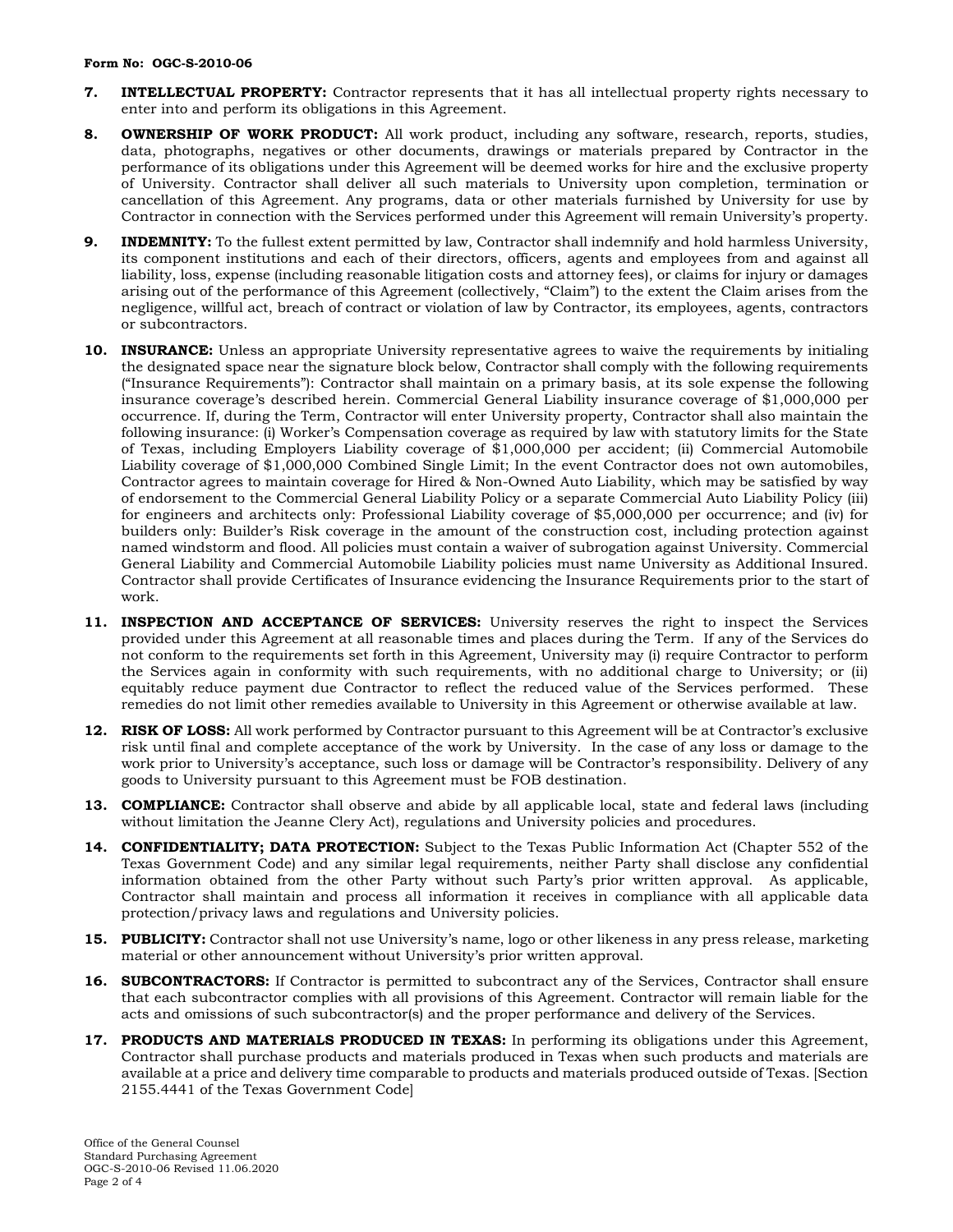- **7. INTELLECTUAL PROPERTY:** Contractor represents that it has all intellectual property rights necessary to enter into and perform its obligations in this Agreement.
- **8. OWNERSHIP OF WORK PRODUCT:** All work product, including any software, research, reports, studies, data, photographs, negatives or other documents, drawings or materials prepared by Contractor in the performance of its obligations under this Agreement will be deemed works for hire and the exclusive property of University. Contractor shall deliver all such materials to University upon completion, termination or cancellation of this Agreement. Any programs, data or other materials furnished by University for use by Contractor in connection with the Services performed under this Agreement will remain University's property.
- **9. INDEMNITY:** To the fullest extent permitted by law, Contractor shall indemnify and hold harmless University, its component institutions and each of their directors, officers, agents and employees from and against all liability, loss, expense (including reasonable litigation costs and attorney fees), or claims for injury or damages arising out of the performance of this Agreement (collectively, "Claim") to the extent the Claim arises from the negligence, willful act, breach of contract or violation of law by Contractor, its employees, agents, contractors or subcontractors.
- 10. **INSURANCE:** Unless an appropriate University representative agrees to waive the requirements by initialing the designated space near the signature block below, Contractor shall comply with the following requirements ("Insurance Requirements"): Contractor shall maintain on a primary basis, at its sole expense the following insurance coverage's described herein. Commercial General Liability insurance coverage of \$1,000,000 per occurrence. If, during the Term, Contractor will enter University property, Contractor shall also maintain the following insurance: (i) Worker's Compensation coverage as required by law with statutory limits for the State of Texas, including Employers Liability coverage of \$1,000,000 per accident; (ii) Commercial Automobile Liability coverage of \$1,000,000 Combined Single Limit; In the event Contractor does not own automobiles, Contractor agrees to maintain coverage for Hired & Non-Owned Auto Liability, which may be satisfied by way of endorsement to the Commercial General Liability Policy or a separate Commercial Auto Liability Policy (iii) for engineers and architects only: Professional Liability coverage of \$5,000,000 per occurrence; and (iv) for builders only: Builder's Risk coverage in the amount of the construction cost, including protection against named windstorm and flood. All policies must contain a waiver of subrogation against University. Commercial General Liability and Commercial Automobile Liability policies must name University as Additional Insured. Contractor shall provide Certificates of Insurance evidencing the Insurance Requirements prior to the start of work.
- **11. INSPECTION AND ACCEPTANCE OF SERVICES:** University reserves the right to inspect the Services provided under this Agreement at all reasonable times and places during the Term. If any of the Services do not conform to the requirements set forth in this Agreement, University may (i) require Contractor to perform the Services again in conformity with such requirements, with no additional charge to University; or (ii) equitably reduce payment due Contractor to reflect the reduced value of the Services performed. These remedies do not limit other remedies available to University in this Agreement or otherwise available at law.
- **12. RISK OF LOSS:** All work performed by Contractor pursuant to this Agreement will be at Contractor's exclusive risk until final and complete acceptance of the work by University. In the case of any loss or damage to the work prior to University's acceptance, such loss or damage will be Contractor's responsibility. Delivery of any goods to University pursuant to this Agreement must be FOB destination.
- **13. COMPLIANCE:** Contractor shall observe and abide by all applicable local, state and federal laws (including without limitation the Jeanne Clery Act), regulations and University policies and procedures.
- **14. CONFIDENTIALITY; DATA PROTECTION:** Subject to the Texas Public Information Act (Chapter 552 of the Texas Government Code) and any similar legal requirements, neither Party shall disclose any confidential information obtained from the other Party without such Party's prior written approval. As applicable, Contractor shall maintain and process all information it receives in compliance with all applicable data protection/privacy laws and regulations and University policies.
- **15. PUBLICITY:** Contractor shall not use University's name, logo or other likeness in any press release, marketing material or other announcement without University's prior written approval.
- **16. SUBCONTRACTORS:** If Contractor is permitted to subcontract any of the Services, Contractor shall ensure that each subcontractor complies with all provisions of this Agreement. Contractor will remain liable for the acts and omissions of such subcontractor(s) and the proper performance and delivery of the Services.
- 17. **PRODUCTS AND MATERIALS PRODUCED IN TEXAS:** In performing its obligations under this Agreement, Contractor shall purchase products and materials produced in Texas when such products and materials are available at a price and delivery time comparable to products and materials produced outside of Texas. [Section 2155.4441 of the Texas Government Code]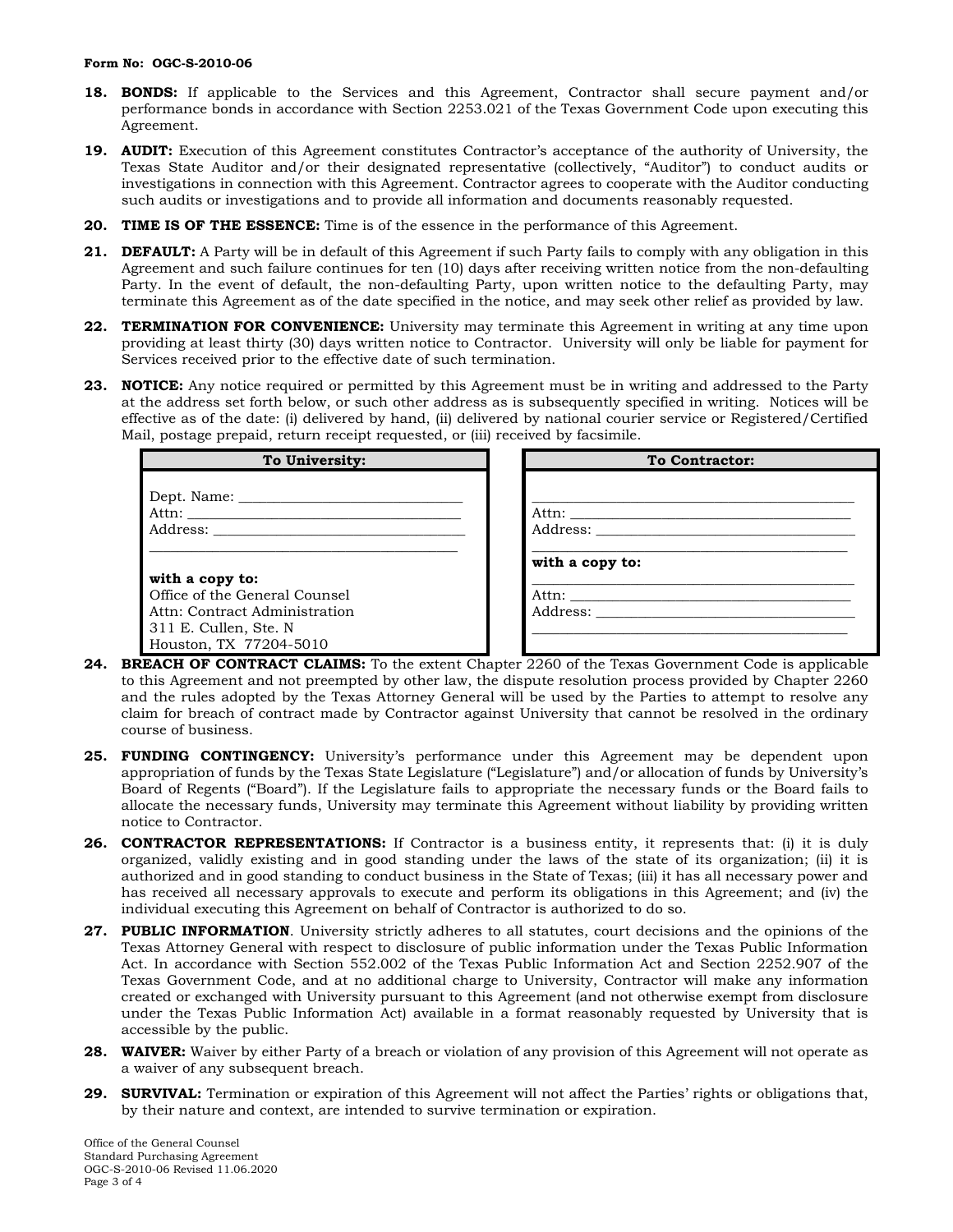## **Form No: OGC-S-2010-06**

- **18. BONDS:** If applicable to the Services and this Agreement, Contractor shall secure payment and/or performance bonds in accordance with Section 2253.021 of the Texas Government Code upon executing this Agreement.
- **19. AUDIT:** Execution of this Agreement constitutes Contractor's acceptance of the authority of University, the Texas State Auditor and/or their designated representative (collectively, "Auditor") to conduct audits or investigations in connection with this Agreement. Contractor agrees to cooperate with the Auditor conducting such audits or investigations and to provide all information and documents reasonably requested.
- **20. TIME IS OF THE ESSENCE:** Time is of the essence in the performance of this Agreement.
- **21. DEFAULT:** A Party will be in default of this Agreement if such Party fails to comply with any obligation in this Agreement and such failure continues for ten (10) days after receiving written notice from the non-defaulting Party. In the event of default, the non-defaulting Party, upon written notice to the defaulting Party, may terminate this Agreement as of the date specified in the notice, and may seek other relief as provided by law.
- **22. TERMINATION FOR CONVENIENCE:** University may terminate this Agreement in writing at any time upon providing at least thirty (30) days written notice to Contractor. University will only be liable for payment for Services received prior to the effective date of such termination.
- **23. NOTICE:** Any notice required or permitted by this Agreement must be in writing and addressed to the Party at the address set forth below, or such other address as is subsequently specified in writing. Notices will be effective as of the date: (i) delivered by hand, (ii) delivered by national courier service or Registered/Certified Mail, postage prepaid, return receipt requested, or (iii) received by facsimile.

| To University:                | <b>To Contractor:</b> |
|-------------------------------|-----------------------|
|                               |                       |
|                               |                       |
|                               |                       |
|                               |                       |
|                               | with a copy to:       |
| with a copy to:               |                       |
| Office of the General Counsel | Attn:                 |
| Attn: Contract Administration |                       |
| 311 E. Cullen, Ste. N.        |                       |
| Houston, TX 77204-5010        |                       |

- **24. BREACH OF CONTRACT CLAIMS:** To the extent Chapter 2260 of the Texas Government Code is applicable to this Agreement and not preempted by other law, the dispute resolution process provided by Chapter 2260 and the rules adopted by the Texas Attorney General will be used by the Parties to attempt to resolve any claim for breach of contract made by Contractor against University that cannot be resolved in the ordinary course of business.
- **25. FUNDING CONTINGENCY:** University's performance under this Agreement may be dependent upon appropriation of funds by the Texas State Legislature ("Legislature") and/or allocation of funds by University's Board of Regents ("Board"). If the Legislature fails to appropriate the necessary funds or the Board fails to allocate the necessary funds, University may terminate this Agreement without liability by providing written notice to Contractor.
- **26. CONTRACTOR REPRESENTATIONS:** If Contractor is a business entity, it represents that: (i) it is duly organized, validly existing and in good standing under the laws of the state of its organization; (ii) it is authorized and in good standing to conduct business in the State of Texas; (iii) it has all necessary power and has received all necessary approvals to execute and perform its obligations in this Agreement; and (iv) the individual executing this Agreement on behalf of Contractor is authorized to do so.
- **27. PUBLIC INFORMATION**. University strictly adheres to all statutes, court decisions and the opinions of the Texas Attorney General with respect to disclosure of public information under the Texas Public Information Act. In accordance with Section 552.002 of the Texas Public Information Act and Section 2252.907 of the Texas Government Code, and at no additional charge to University, Contractor will make any information created or exchanged with University pursuant to this Agreement (and not otherwise exempt from disclosure under the Texas Public Information Act) available in a format reasonably requested by University that is accessible by the public.
- **28. WAIVER:** Waiver by either Party of a breach or violation of any provision of this Agreement will not operate as a waiver of any subsequent breach.
- **29. SURVIVAL:** Termination or expiration of this Agreement will not affect the Parties' rights or obligations that, by their nature and context, are intended to survive termination or expiration.